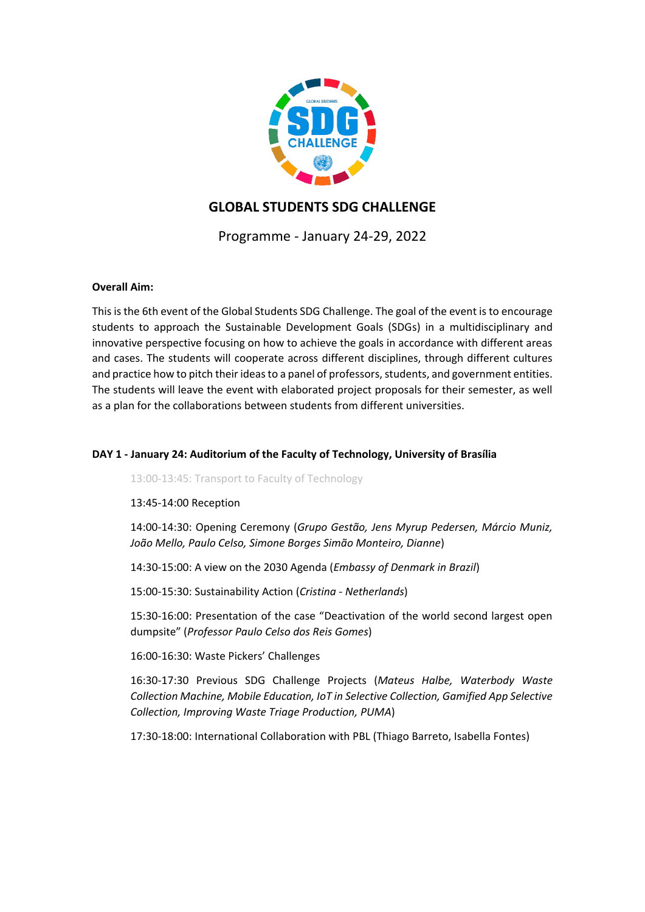

# **GLOBAL STUDENTS SDG CHALLENGE**

Programme - January 24-29, 2022

## **Overall Aim:**

This is the 6th event of the Global Students SDG Challenge. The goal of the event is to encourage students to approach the Sustainable Development Goals (SDGs) in a multidisciplinary and innovative perspective focusing on how to achieve the goals in accordance with different areas and cases. The students will cooperate across different disciplines, through different cultures and practice how to pitch their ideas to a panel of professors, students, and government entities. The students will leave the event with elaborated project proposals for their semester, as well as a plan for the collaborations between students from different universities.

## **DAY 1 - January 24: Auditorium of the Faculty of Technology, University of Brasília**

13:00-13:45: Transport to Faculty of Technology

13:45-14:00 Reception

14:00-14:30: Opening Ceremony (*Grupo Gestão, Jens Myrup Pedersen, Márcio Muniz, João Mello, Paulo Celso, Simone Borges Simão Monteiro, Dianne*)

14:30-15:00: A view on the 2030 Agenda (*Embassy of Denmark in Brazil*)

15:00-15:30: Sustainability Action (*Cristina - Netherlands*)

15:30-16:00: Presentation of the case "Deactivation of the world second largest open dumpsite" (*Professor Paulo Celso dos Reis Gomes*)

16:00-16:30: Waste Pickers' Challenges

16:30-17:30 Previous SDG Challenge Projects (*Mateus Halbe, Waterbody Waste Collection Machine, Mobile Education, IoT in Selective Collection, Gamified App Selective Collection, Improving Waste Triage Production, PUMA*)

17:30-18:00: International Collaboration with PBL (Thiago Barreto, Isabella Fontes)